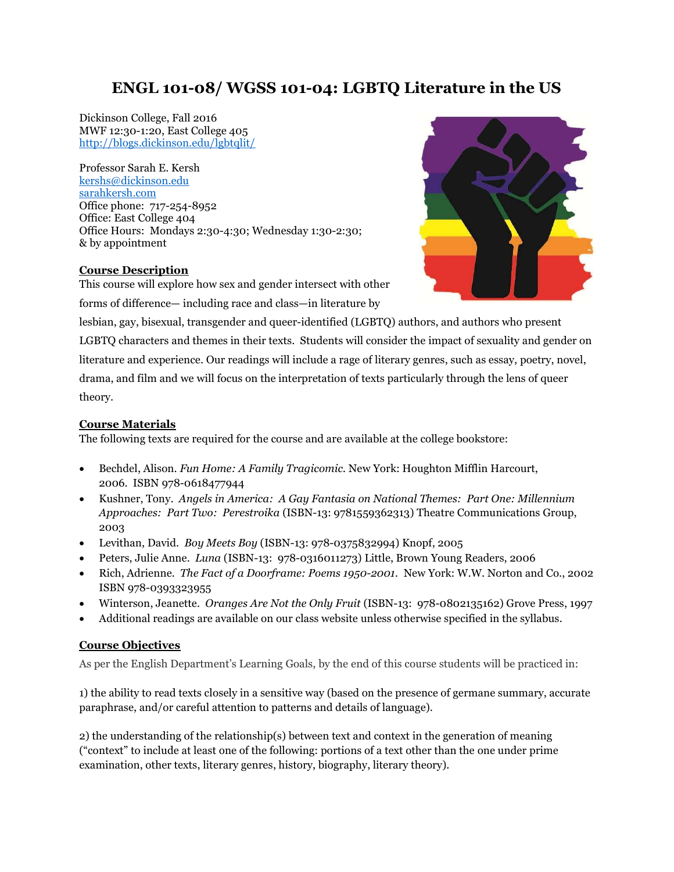# ENGL 101-08/ WGSS 101-04: LGBTQ Literature in the US

Dickinson College, Fall 2016 MWF 12:30-1:20, East College 405 http://blogs.dickinson.edu/lgbtqlit/

Professor Sarah E. Kersh kershs@dickinson.edu sarahkersh.com Office phone: 717-254-8952 Office: East College 404 Office Hours: Mondays 2:30-4:30; Wednesday 1:30-2:30; & by appointment

## Course Description

This course will explore how sex and gender intersect with other forms of difference— including race and class—in literature by



lesbian, gay, bisexual, transgender and queer-identified (LGBTQ) authors, and authors who present LGBTQ characters and themes in their texts. Students will consider the impact of sexuality and gender on literature and experience. Our readings will include a rage of literary genres, such as essay, poetry, novel, drama, and film and we will focus on the interpretation of texts particularly through the lens of queer theory.

# Course Materials

The following texts are required for the course and are available at the college bookstore:

- Bechdel, Alison. Fun Home: A Family Tragicomic. New York: Houghton Mifflin Harcourt, 2006. ISBN 978-0618477944
- Kushner, Tony. Angels in America: A Gay Fantasia on National Themes: Part One: Millennium Approaches: Part Two: Perestroika (ISBN-13: 9781559362313) Theatre Communications Group, 2003
- Levithan, David. Boy Meets Boy (ISBN-13: 978-0375832994) Knopf, 2005
- Peters, Julie Anne. Luna (ISBN-13: 978-0316011273) Little, Brown Young Readers, 2006
- Rich, Adrienne. The Fact of a Doorframe: Poems 1950-2001. New York: W.W. Norton and Co., 2002 ISBN 978-0393323955
- Winterson, Jeanette. Oranges Are Not the Only Fruit (ISBN-13: 978-0802135162) Grove Press, 1997
- Additional readings are available on our class website unless otherwise specified in the syllabus.

# Course Objectives

As per the English Department's Learning Goals, by the end of this course students will be practiced in:

1) the ability to read texts closely in a sensitive way (based on the presence of germane summary, accurate paraphrase, and/or careful attention to patterns and details of language).

2) the understanding of the relationship(s) between text and context in the generation of meaning ("context" to include at least one of the following: portions of a text other than the one under prime examination, other texts, literary genres, history, biography, literary theory).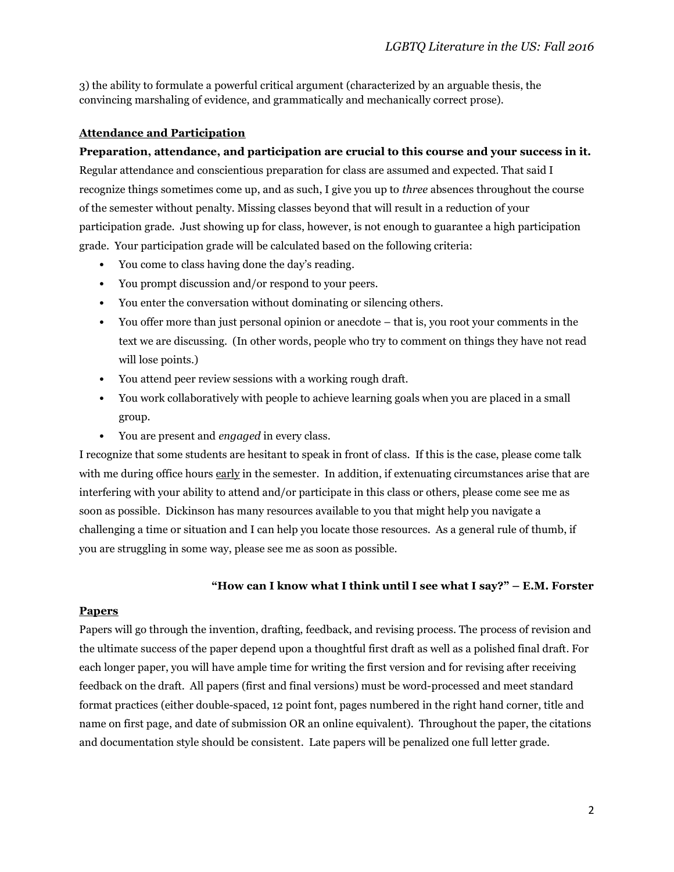3) the ability to formulate a powerful critical argument (characterized by an arguable thesis, the convincing marshaling of evidence, and grammatically and mechanically correct prose).

# Attendance and Participation

## Preparation, attendance, and participation are crucial to this course and your success in it.

Regular attendance and conscientious preparation for class are assumed and expected. That said I recognize things sometimes come up, and as such, I give you up to three absences throughout the course of the semester without penalty. Missing classes beyond that will result in a reduction of your participation grade. Just showing up for class, however, is not enough to guarantee a high participation grade. Your participation grade will be calculated based on the following criteria:

- You come to class having done the day's reading.
- You prompt discussion and/or respond to your peers.
- You enter the conversation without dominating or silencing others.
- You offer more than just personal opinion or anecdote that is, you root your comments in the text we are discussing. (In other words, people who try to comment on things they have not read will lose points.)
- You attend peer review sessions with a working rough draft.
- You work collaboratively with people to achieve learning goals when you are placed in a small group.
- You are present and engaged in every class.

I recognize that some students are hesitant to speak in front of class. If this is the case, please come talk with me during office hours early in the semester. In addition, if extenuating circumstances arise that are interfering with your ability to attend and/or participate in this class or others, please come see me as soon as possible. Dickinson has many resources available to you that might help you navigate a challenging a time or situation and I can help you locate those resources. As a general rule of thumb, if you are struggling in some way, please see me as soon as possible.

## "How can I know what I think until I see what I say?"  $-$  E.M. Forster

## **Papers**

Papers will go through the invention, drafting, feedback, and revising process. The process of revision and the ultimate success of the paper depend upon a thoughtful first draft as well as a polished final draft. For each longer paper, you will have ample time for writing the first version and for revising after receiving feedback on the draft. All papers (first and final versions) must be word-processed and meet standard format practices (either double-spaced, 12 point font, pages numbered in the right hand corner, title and name on first page, and date of submission OR an online equivalent). Throughout the paper, the citations and documentation style should be consistent. Late papers will be penalized one full letter grade.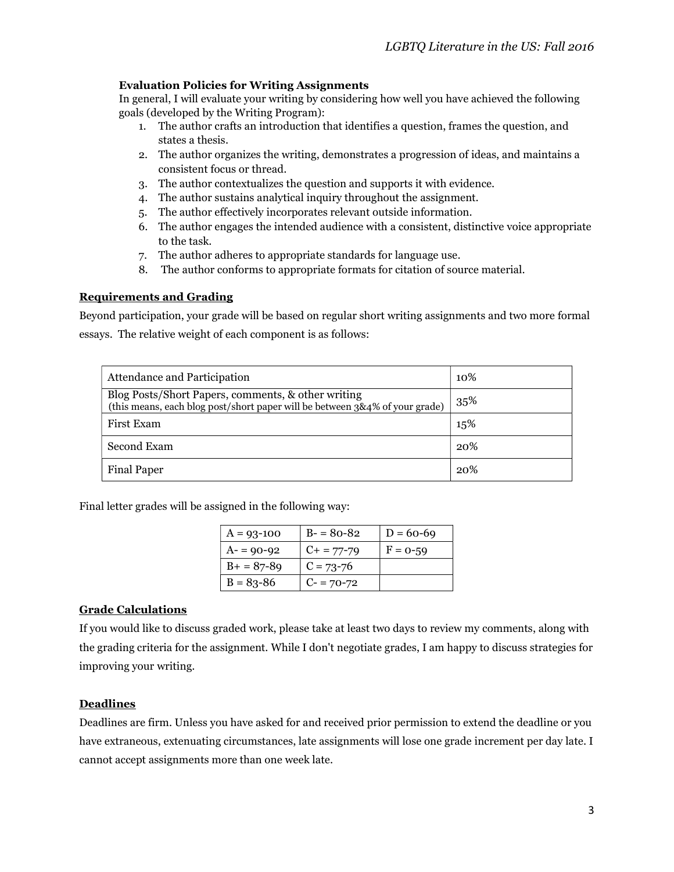# Evaluation Policies for Writing Assignments

In general, I will evaluate your writing by considering how well you have achieved the following goals (developed by the Writing Program):

- 1. The author crafts an introduction that identifies a question, frames the question, and states a thesis.
- 2. The author organizes the writing, demonstrates a progression of ideas, and maintains a consistent focus or thread.
- 3. The author contextualizes the question and supports it with evidence.
- 4. The author sustains analytical inquiry throughout the assignment.
- 5. The author effectively incorporates relevant outside information.
- 6. The author engages the intended audience with a consistent, distinctive voice appropriate to the task.
- 7. The author adheres to appropriate standards for language use.
- 8. The author conforms to appropriate formats for citation of source material.

### Requirements and Grading

Beyond participation, your grade will be based on regular short writing assignments and two more formal essays. The relative weight of each component is as follows:

| <b>Attendance and Participation</b>                                                                                               | 10% |
|-----------------------------------------------------------------------------------------------------------------------------------|-----|
| Blog Posts/Short Papers, comments, & other writing<br>(this means, each blog post/short paper will be between 3&4% of your grade) | 35% |
| First Exam                                                                                                                        | 15% |
| Second Exam                                                                                                                       | 20% |
| Final Paper                                                                                                                       | 20% |

Final letter grades will be assigned in the following way:

| $A = 93 - 100$ | $B - 80 - 82$   | $D = 60 - 69$ |
|----------------|-----------------|---------------|
| $A = 90 - 92$  | $C_{+}$ = 77-79 | $F = 0-59$    |
| $B+ = 87-89$   | $C = 73 - 76$   |               |
| $B = 83 - 86$  | $C = 70-72$     |               |

## Grade Calculations

If you would like to discuss graded work, please take at least two days to review my comments, along with the grading criteria for the assignment. While I don't negotiate grades, I am happy to discuss strategies for improving your writing.

## Deadlines

Deadlines are firm. Unless you have asked for and received prior permission to extend the deadline or you have extraneous, extenuating circumstances, late assignments will lose one grade increment per day late. I cannot accept assignments more than one week late.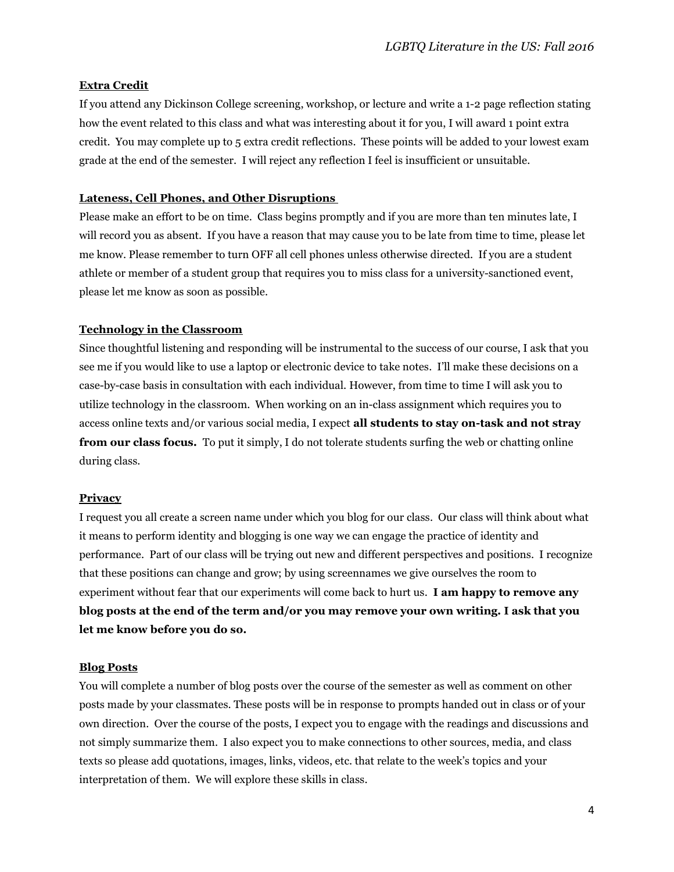### Extra Credit

If you attend any Dickinson College screening, workshop, or lecture and write a 1-2 page reflection stating how the event related to this class and what was interesting about it for you, I will award 1 point extra credit. You may complete up to 5 extra credit reflections. These points will be added to your lowest exam grade at the end of the semester. I will reject any reflection I feel is insufficient or unsuitable.

#### Lateness, Cell Phones, and Other Disruptions

Please make an effort to be on time. Class begins promptly and if you are more than ten minutes late, I will record you as absent. If you have a reason that may cause you to be late from time to time, please let me know. Please remember to turn OFF all cell phones unless otherwise directed. If you are a student athlete or member of a student group that requires you to miss class for a university-sanctioned event, please let me know as soon as possible.

### Technology in the Classroom

Since thoughtful listening and responding will be instrumental to the success of our course, I ask that you see me if you would like to use a laptop or electronic device to take notes. I'll make these decisions on a case-by-case basis in consultation with each individual. However, from time to time I will ask you to utilize technology in the classroom. When working on an in-class assignment which requires you to access online texts and/or various social media, I expect all students to stay on-task and not stray from our class focus. To put it simply, I do not tolerate students surfing the web or chatting online during class.

#### **Privacy**

I request you all create a screen name under which you blog for our class. Our class will think about what it means to perform identity and blogging is one way we can engage the practice of identity and performance. Part of our class will be trying out new and different perspectives and positions. I recognize that these positions can change and grow; by using screennames we give ourselves the room to experiment without fear that our experiments will come back to hurt us. **I am happy to remove any** blog posts at the end of the term and/or you may remove your own writing. I ask that you let me know before you do so.

#### Blog Posts

You will complete a number of blog posts over the course of the semester as well as comment on other posts made by your classmates. These posts will be in response to prompts handed out in class or of your own direction. Over the course of the posts, I expect you to engage with the readings and discussions and not simply summarize them. I also expect you to make connections to other sources, media, and class texts so please add quotations, images, links, videos, etc. that relate to the week's topics and your interpretation of them. We will explore these skills in class.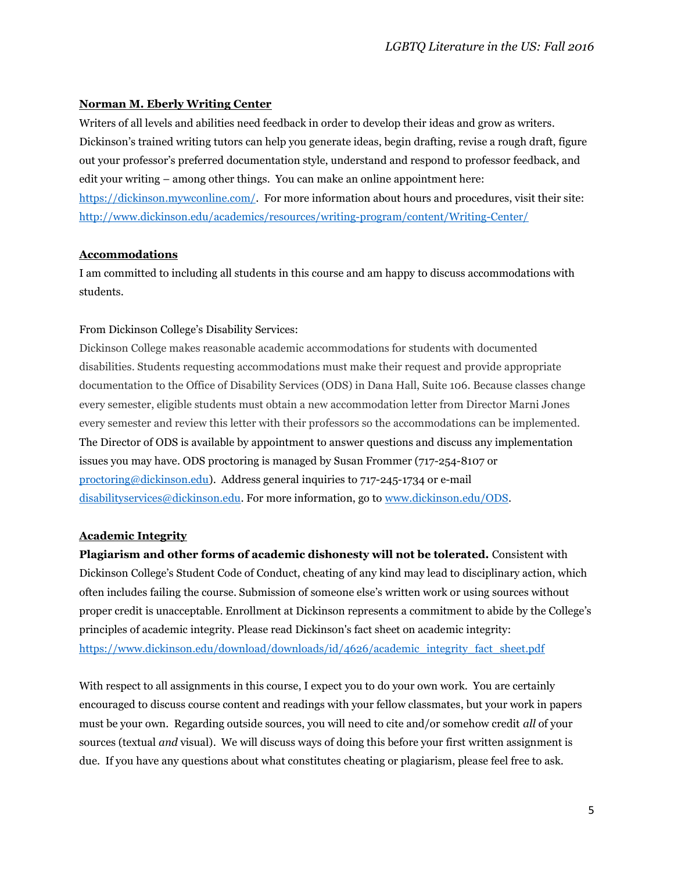# Norman M. Eberly Writing Center

Writers of all levels and abilities need feedback in order to develop their ideas and grow as writers. Dickinson's trained writing tutors can help you generate ideas, begin drafting, revise a rough draft, figure out your professor's preferred documentation style, understand and respond to professor feedback, and edit your writing – among other things. You can make an online appointment here: https://dickinson.mywconline.com/. For more information about hours and procedures, visit their site: http://www.dickinson.edu/academics/resources/writing-program/content/Writing-Center/

## **Accommodations**

I am committed to including all students in this course and am happy to discuss accommodations with students.

# From Dickinson College's Disability Services:

Dickinson College makes reasonable academic accommodations for students with documented disabilities. Students requesting accommodations must make their request and provide appropriate documentation to the Office of Disability Services (ODS) in Dana Hall, Suite 106. Because classes change every semester, eligible students must obtain a new accommodation letter from Director Marni Jones every semester and review this letter with their professors so the accommodations can be implemented. The Director of ODS is available by appointment to answer questions and discuss any implementation issues you may have. ODS proctoring is managed by Susan Frommer (717-254-8107 or proctoring@dickinson.edu). Address general inquiries to 717-245-1734 or e-mail disabilityservices@dickinson.edu. For more information, go to www.dickinson.edu/ODS.

# Academic Integrity

Plagiarism and other forms of academic dishonesty will not be tolerated. Consistent with Dickinson College's Student Code of Conduct, cheating of any kind may lead to disciplinary action, which often includes failing the course. Submission of someone else's written work or using sources without proper credit is unacceptable. Enrollment at Dickinson represents a commitment to abide by the College's principles of academic integrity. Please read Dickinson's fact sheet on academic integrity: https://www.dickinson.edu/download/downloads/id/4626/academic\_integrity\_fact\_sheet.pdf

With respect to all assignments in this course, I expect you to do your own work. You are certainly encouraged to discuss course content and readings with your fellow classmates, but your work in papers must be your own. Regarding outside sources, you will need to cite and/or somehow credit all of your sources (textual *and* visual). We will discuss ways of doing this before your first written assignment is due. If you have any questions about what constitutes cheating or plagiarism, please feel free to ask.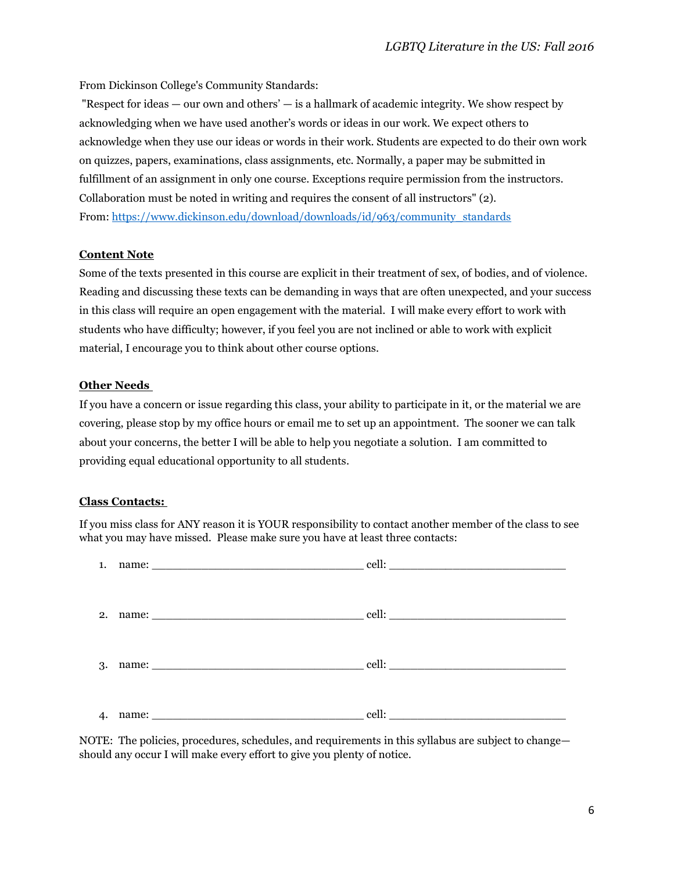From Dickinson College's Community Standards:

 "Respect for ideas — our own and others' — is a hallmark of academic integrity. We show respect by acknowledging when we have used another's words or ideas in our work. We expect others to acknowledge when they use our ideas or words in their work. Students are expected to do their own work on quizzes, papers, examinations, class assignments, etc. Normally, a paper may be submitted in fulfillment of an assignment in only one course. Exceptions require permission from the instructors. Collaboration must be noted in writing and requires the consent of all instructors" (2). From: https://www.dickinson.edu/download/downloads/id/963/community\_standards

## Content Note

Some of the texts presented in this course are explicit in their treatment of sex, of bodies, and of violence. Reading and discussing these texts can be demanding in ways that are often unexpected, and your success in this class will require an open engagement with the material. I will make every effort to work with students who have difficulty; however, if you feel you are not inclined or able to work with explicit material, I encourage you to think about other course options.

### Other Needs

If you have a concern or issue regarding this class, your ability to participate in it, or the material we are covering, please stop by my office hours or email me to set up an appointment. The sooner we can talk about your concerns, the better I will be able to help you negotiate a solution. I am committed to providing equal educational opportunity to all students.

#### Class Contacts:

If you miss class for ANY reason it is YOUR responsibility to contact another member of the class to see what you may have missed. Please make sure you have at least three contacts:

|    | 1. name: $\qquad \qquad \text{cell:}$ |  |
|----|---------------------------------------|--|
|    |                                       |  |
|    |                                       |  |
| 4. |                                       |  |

NOTE: The policies, procedures, schedules, and requirements in this syllabus are subject to change should any occur I will make every effort to give you plenty of notice.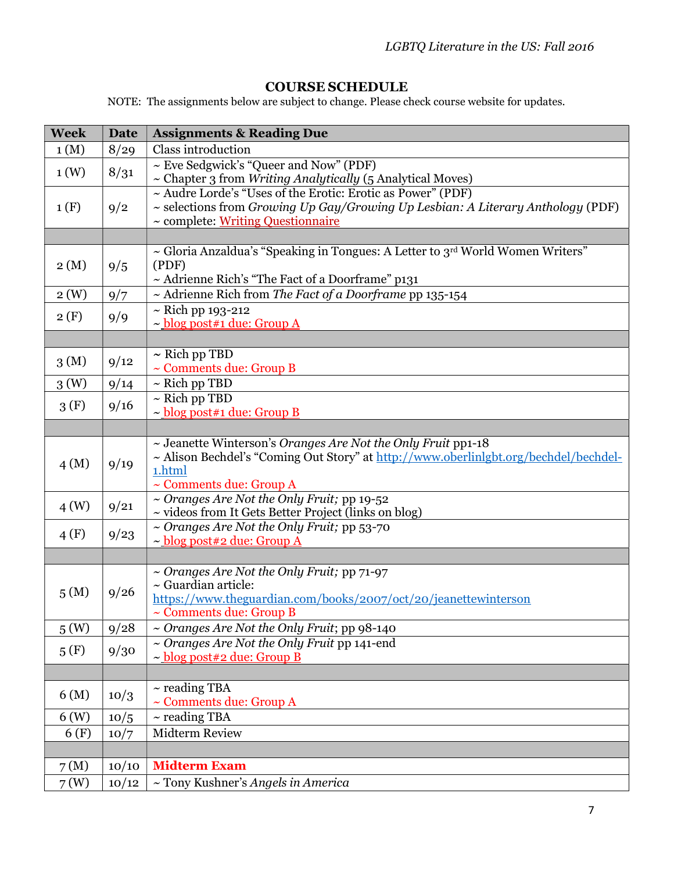# COURSE SCHEDULE

NOTE: The assignments below are subject to change. Please check course website for updates.

| <b>Week</b>      | <b>Date</b> | <b>Assignments &amp; Reading Due</b>                                                                                      |
|------------------|-------------|---------------------------------------------------------------------------------------------------------------------------|
| 1(M)             | 8/29        | <b>Class introduction</b>                                                                                                 |
| 1(W)             | 8/31        | ~ Eve Sedgwick's "Queer and Now" (PDF)                                                                                    |
|                  |             | ~ Chapter 3 from Writing Analytically (5 Analytical Moves)                                                                |
|                  |             | ~ Audre Lorde's "Uses of the Erotic: Erotic as Power" (PDF)                                                               |
| 1(F)             | 9/2         | $\sim$ selections from Growing Up Gay/Growing Up Lesbian: A Literary Anthology (PDF)<br>~ complete: Writing Questionnaire |
|                  |             |                                                                                                                           |
|                  |             | ~ Gloria Anzaldua's "Speaking in Tongues: A Letter to 3rd World Women Writers"                                            |
| 2(M)             | 9/5         | (PDF)                                                                                                                     |
|                  |             | ~ Adrienne Rich's "The Fact of a Doorframe" p131                                                                          |
| 2(W)             | 9/7         | ~ Adrienne Rich from The Fact of a Doorframe pp 135-154                                                                   |
|                  |             | $\sim$ Rich pp 193-212                                                                                                    |
| 2(F)             | 9/9         | $\sim$ blog post#1 due: Group A                                                                                           |
|                  |             |                                                                                                                           |
| 3(M)             | 9/12        | $\sim$ Rich pp TBD                                                                                                        |
|                  |             | ~ Comments due: Group B                                                                                                   |
| 3 <sub>(W)</sub> | 9/14        | $\sim$ Rich pp TBD                                                                                                        |
| 3(F)             | 9/16        | $\sim$ Rich pp TBD                                                                                                        |
|                  |             | $\sim$ blog post#1 due: Group B                                                                                           |
|                  |             | ~ Jeanette Winterson's Oranges Are Not the Only Fruit pp1-18                                                              |
|                  |             | ~ Alison Bechdel's "Coming Out Story" at http://www.oberlinlgbt.org/bechdel/bechdel-                                      |
| 4(M)             | 9/19        | 1.html                                                                                                                    |
|                  |             | $\sim$ Comments due: Group A                                                                                              |
| 4(W)             | 9/21        | ~ Oranges Are Not the Only Fruit; pp 19-52                                                                                |
|                  |             | ~ videos from It Gets Better Project (links on blog)                                                                      |
| 4(F)             | 9/23        | ~ Oranges Are Not the Only Fruit; pp 53-70                                                                                |
|                  |             | ~ blog post#2 due: Group A                                                                                                |
|                  |             | ~ Oranges Are Not the Only Fruit; pp 71-97                                                                                |
|                  |             | $\sim$ Guardian article:                                                                                                  |
| 5(M)             | 9/26        | https://www.theguardian.com/books/2007/oct/20/jeanettewinterson                                                           |
|                  |             | $\sim$ Comments due: Group B                                                                                              |
| 5(W)             | 9/28        | ~ Oranges Are Not the Only Fruit; pp 98-140                                                                               |
| 5(F)             | 9/30        | ~ Oranges Are Not the Only Fruit pp 141-end                                                                               |
|                  |             | $\sim$ blog post#2 due: Group B                                                                                           |
|                  |             |                                                                                                                           |
| 6(M)             | 10/3        | $\sim$ reading TBA                                                                                                        |
|                  |             | $\sim$ Comments due: Group A                                                                                              |
| 6(W)             | 10/5        | $\sim$ reading TBA<br><b>Midterm Review</b>                                                                               |
| 6(F)             | 10/7        |                                                                                                                           |
|                  |             |                                                                                                                           |
| 7(M)             | 10/10       | <b>Midterm Exam</b>                                                                                                       |
| 7(W)             | 10/12       | ~ Tony Kushner's Angels in America                                                                                        |